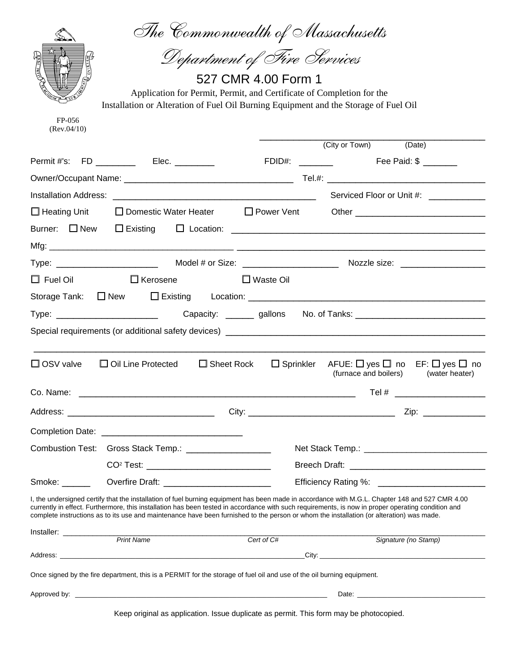|                        | The Commonwealth of Massachusetts                                                                                                        |                             |                                                                                                                                                                                                                                                                                                       |
|------------------------|------------------------------------------------------------------------------------------------------------------------------------------|-----------------------------|-------------------------------------------------------------------------------------------------------------------------------------------------------------------------------------------------------------------------------------------------------------------------------------------------------|
|                        |                                                                                                                                          | Department of Fire Services |                                                                                                                                                                                                                                                                                                       |
| THE RED POST           |                                                                                                                                          | 527 CMR 4.00 Form 1         |                                                                                                                                                                                                                                                                                                       |
|                        | Application for Permit, Permit, and Certificate of Completion for the                                                                    |                             |                                                                                                                                                                                                                                                                                                       |
|                        | Installation or Alteration of Fuel Oil Burning Equipment and the Storage of Fuel Oil                                                     |                             |                                                                                                                                                                                                                                                                                                       |
| FP-056<br>(Rev.04/10)  |                                                                                                                                          |                             |                                                                                                                                                                                                                                                                                                       |
|                        |                                                                                                                                          |                             | (City or Town) (Date)                                                                                                                                                                                                                                                                                 |
|                        | Permit #'s: FD ________ Elec. ______                                                                                                     |                             | FDID#: ________ Fee Paid: \$ ______                                                                                                                                                                                                                                                                   |
|                        |                                                                                                                                          |                             |                                                                                                                                                                                                                                                                                                       |
|                        |                                                                                                                                          |                             | Serviced Floor or Unit #: ____________                                                                                                                                                                                                                                                                |
| $\Box$ Heating Unit    | $\Box$ Domestic Water Heater $\Box$ Power Vent                                                                                           |                             |                                                                                                                                                                                                                                                                                                       |
| Burner: $\square$ New  |                                                                                                                                          |                             |                                                                                                                                                                                                                                                                                                       |
|                        |                                                                                                                                          |                             |                                                                                                                                                                                                                                                                                                       |
|                        |                                                                                                                                          |                             |                                                                                                                                                                                                                                                                                                       |
|                        | $\Box$ Fuel Oil $\Box$ Kerosene                                                                                                          | $\Box$ Waste Oil            |                                                                                                                                                                                                                                                                                                       |
|                        |                                                                                                                                          |                             |                                                                                                                                                                                                                                                                                                       |
|                        |                                                                                                                                          |                             | No. of Tanks: _________________________________                                                                                                                                                                                                                                                       |
|                        |                                                                                                                                          |                             |                                                                                                                                                                                                                                                                                                       |
| $\square$ OSV valve    | $\Box$ Oil Line Protected<br>$\Box$ Sheet Rock                                                                                           |                             | $\Box$ Sprinkler AFUE: $\Box$ yes $\Box$ no EF: $\Box$ yes $\Box$ no<br>(furnace and boilers)<br>(water heater)                                                                                                                                                                                       |
| Co. Name:              |                                                                                                                                          |                             |                                                                                                                                                                                                                                                                                                       |
|                        |                                                                                                                                          |                             | Tel #                                                                                                                                                                                                                                                                                                 |
|                        |                                                                                                                                          |                             | Zip: ______________                                                                                                                                                                                                                                                                                   |
|                        |                                                                                                                                          |                             |                                                                                                                                                                                                                                                                                                       |
|                        | Combustion Test: Gross Stack Temp.: __________________                                                                                   |                             |                                                                                                                                                                                                                                                                                                       |
|                        |                                                                                                                                          |                             |                                                                                                                                                                                                                                                                                                       |
| Smoke: <u>________</u> |                                                                                                                                          |                             |                                                                                                                                                                                                                                                                                                       |
|                        | complete instructions as to its use and maintenance have been furnished to the person or whom the installation (or alteration) was made. |                             | I, the undersigned certify that the installation of fuel burning equipment has been made in accordance with M.G.L. Chapter 148 and 527 CMR 4.00<br>currently in effect. Furthermore, this installation has been tested in accordance with such requirements, is now in proper operating condition and |
|                        |                                                                                                                                          |                             |                                                                                                                                                                                                                                                                                                       |
|                        | <b>Print Name</b>                                                                                                                        | Cert of C#                  | Signature (no Stamp)                                                                                                                                                                                                                                                                                  |
|                        | Once signed by the fire department, this is a PERMIT for the storage of fuel oil and use of the oil burning equipment.                   |                             |                                                                                                                                                                                                                                                                                                       |
|                        |                                                                                                                                          |                             |                                                                                                                                                                                                                                                                                                       |